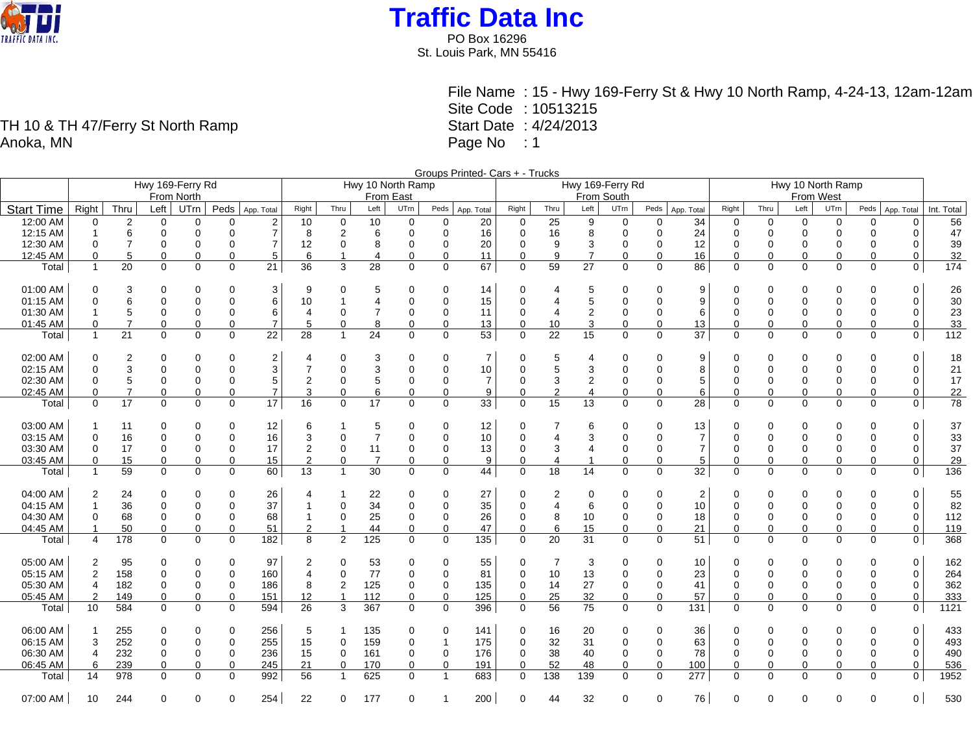

PO Box 16296 St. Louis Park, MN 55416

File Name : 15 - Hwy 169-Ferry St & Hwy 10 North Ramp, 4-24-13, 12am-12am Site Code : 10513215 Start Date : 4/24/2013 Page No : 1

Groups Printed- Cars + - Trucks Hwy 169-Ferry Rd From North Hwy 10 North Ramp From East Hwy 169-Ferry Rd From South Hwy 10 North Ramp From West Start Time Right Thru Left UTrn Peds App. Total Right Thru Left UTrn Peds App. Total Right Thru Left UTrn Peds App. Total Right Thru Left UTrn Peds App. Total Right Thru Left UTrn Peds App. Total Int. Total 12:00 AM 0 2 0 0 0 2 10 0 10 0 0 20 0 25 9 0 0 34 0 0 0 0 0 0 56 12:15 AM 1 6 0 0 0 7 8 2 6 0 0 16 0 16 8 0 0 24 0 0 0 0 0 0 47 12:30 AM 0 7 0 0 0 7 12 0 8 0 0 20 0 9 3 0 0 12 0 0 0 0 0 0 39 12:45 AM 0 5 0 0 0 5 6 1 4 0 0 11 0 9 7 0 0 16 0 0 0 0 0 0 32 Total 1 20 0 0 0 21 36 3 28 0 0 67 0 59 27 0 0 86 0 0 0 0 0 0 174 01:00 AM 0 3 0 0 0 3 9 0 5 0 0 14 0 4 5 0 0 9 0 0 0 0 0 0 26 01:15 AM 0 6 0 0 0 6 10 1 4 0 0 15 0 4 5 0 0 9 0 0 0 0 0 0 30 01:30 AM 1 5 0 0 0 6 4 0 7 0 0 11 0 4 2 0 0 6 0 0 0 0 0 0 23 01:45 AM | 0 7 0 0 0 7 | 5 0 8 0 0 13 | 0 10 3 0 0 13 | 0 0 0 0 0 0 33 Total 1 21 0 0 0 22 28 1 24 0 0 53 0 22 15 0 0 37 0 0 0 0 0 0 112 02:00 AM 0 2 0 0 0 2 4 0 3 0 0 7 0 5 4 0 0 9 0 0 0 0 0 0 18 02:15 AM 0 3 0 0 0 3 7 0 3 0 0 10 0 5 3 0 0 8 0 0 0 0 0 0 21 02:30 AM 0 5 0 0 0 5 2 0 5 0 0 7 0 3 2 0 0 5 0 0 0 0 0 0 17 02:45 AM 0 7 0 0 0 7 3 0 6 0 0 9 0 2 4 0 0 6 0 0 0 0 0 0 22 Total 0 17 0 0 0 17 16 0 17 0 0 33 0 15 13 0 0 28 0 0 0 0 0 0 78 03:00 AM | 1 11 0 0 0 12 | 6 1 5 0 0 12 | 0 7 6 0 0 13 | 0 0 0 0 0 0 | 37 03:15 AM 0 16 0 0 0 16 3 0 7 0 0 10 0 4 3 0 0 7 0 0 0 0 0 0 33 03:30 AM | 0 17 0 0 0 17 | 2 0 11 0 0 13 | 0 3 4 0 0 7 | 0 0 0 0 0 0 | 37 03:45 AM | 0 15 0 0 0 15 | 2 0 7 0 0 9 | 0 4 1 0 0 5 | 0 0 0 0 0 0 | 29 Total 1 59 0 0 0 60 13 1 30 0 0 44 0 18 14 0 0 32 0 0 0 0 0 0 136 04:00 AM 2 24 0 0 0 26 4 1 22 0 0 27 0 2 0 0 0 2 0 0 0 0 0 0 55 04:15 AM 1 36 0 0 0 37 1 0 34 0 0 35 0 4 6 0 0 10 0 0 0 0 0 0 82 04:30 AM | 0 68 0 0 0 68 | 1 0 25 0 0 26 | 0 8 10 0 0 18 | 0 0 0 0 0 0 0 112 04:45 AM 1 50 0 0 0 51 2 1 44 0 0 47 0 6 15 0 0 21 0 0 0 0 0 0 119 Total 4 178 0 0 0 182 8 2 125 0 0 135 0 20 31 0 0 51 0 0 0 0 0 0 368 05:00 AM 2 95 0 0 0 97 2 0 53 0 0 55 0 7 3 0 0 10 0 0 0 0 0 0 162 05:15 AM 2 158 0 0 0 160 4 0 77 0 0 81 0 10 13 0 0 23 0 0 0 0 0 0 264 05:30 AM 4 182 0 0 0 186 8 2 125 0 0 135 0 14 27 0 0 41 0 0 0 0 0 0 362 05:45 AM 2 149 0 0 0 151 12 1 112 0 0 125 0 25 32 0 0 57 0 0 0 0 0 0 333 Total 10 584 0 0 0 594 26 3 367 0 0 396 0 56 75 0 0 131 0 0 0 0 0 0 1121 06:00 AM | 1 255 0 0 0 256 | 5 1 135 0 0 141 | 0 16 20 0 0 36 | 0 0 0 0 0 0 | 433 06:15 AM 3 252 0 0 0 255 15 0 159 0 1 175 0 32 31 0 0 63 0 0 0 0 0 0 493 06:30 AM | 4 232 0 0 0 236 | 15 0 161 0 0 176 | 0 38 40 0 78 | 0 0 0 0 0 490 06:45 AM 6 239 0 0 0 245 21 0 170 0 0 191 0 52 48 0 0 100 0 0 0 0 0 0 536 Total 14 978 0 0 0 992 56 1 625 0 1 683 0 138 139 0 0 277 0 0 0 0 0 0 1952

07:00 AM | 10 244 0 0 0 254 | 22 0 177 0 1 200 | 0 44 32 0 0 76 | 0 0 0 0 0 0 530

TH 10 & TH 47/Ferry St North Ramp Anoka, MN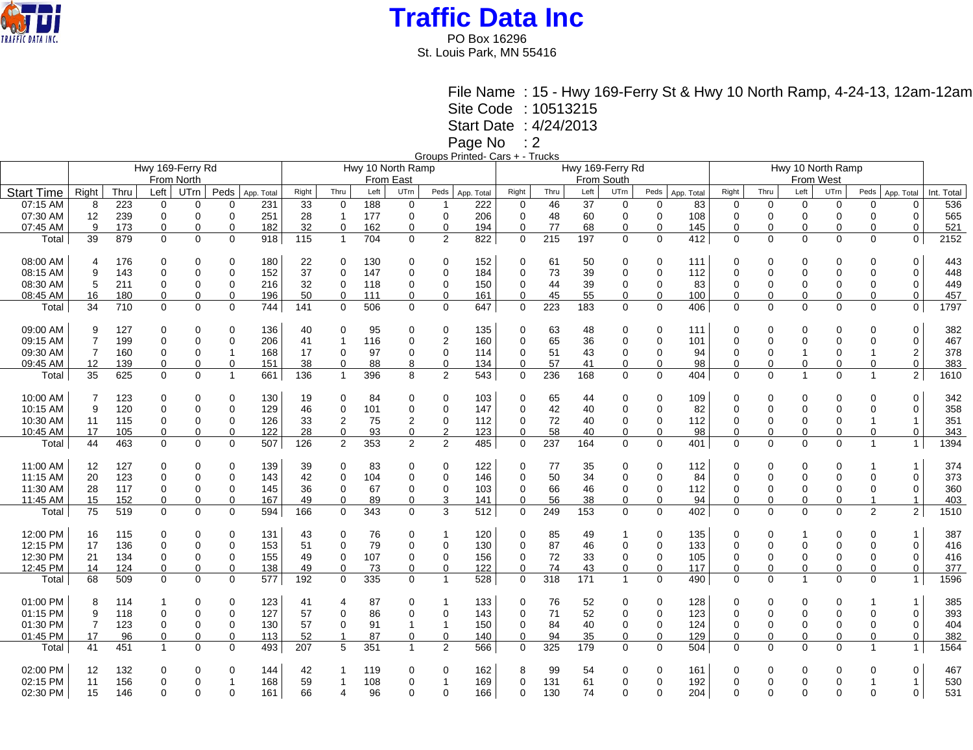

PO Box 16296 St. Louis Park, MN 55416

> File Name : 15 - Hwy 169-Ferry St & Hwy 10 North Ramp, 4-24-13, 12am-12am Site Code : 10513215

Start Date : 4/24/2013

Page No : 2

| Groups Printed- Cars + - Trucks |  |  |
|---------------------------------|--|--|
|                                 |  |  |

|                   | Hwy 169-Ferry Rd |      |              |             |             |            |       | Hwy 10 North Ramp |           |                |                |            |             |      |      | Hwy 169-Ferry Rd |             |            |             |                                |                |             |                |                |            |  |
|-------------------|------------------|------|--------------|-------------|-------------|------------|-------|-------------------|-----------|----------------|----------------|------------|-------------|------|------|------------------|-------------|------------|-------------|--------------------------------|----------------|-------------|----------------|----------------|------------|--|
|                   |                  |      |              | From North  |             |            |       |                   | From East |                |                |            | From South  |      |      |                  |             |            |             | Hwy 10 North Ramp<br>From West |                |             |                |                |            |  |
| <b>Start Time</b> | Right            | Thru | Left         | UTrn        | Peds        | App. Total | Right | Thru              | Left      | UTrn           | Peds           | App. Total | Right       | Thru | Left | UTrn             | Peds        | App. Total | Right       | Thru                           | Left           | UTrn        | Peds           | App. Total     | Int. Total |  |
| 07:15 AM          | 8                | 223  | 0            | $\Omega$    | $\Omega$    | 231        | 33    | $\mathbf 0$       | 188       | 0              | -1             | 222        | 0           | 46   | 37   | 0                | 0           | 83         | 0           | $\mathbf 0$                    | $\Omega$       | $\Omega$    | 0              | $\mathbf 0$    | 536        |  |
| 07:30 AM          | 12               | 239  | 0            | $\mathbf 0$ | $\mathbf 0$ | 251        | 28    | $\mathbf{1}$      | 177       | 0              | $\mathbf 0$    | 206        | 0           | 48   | 60   | $\mathbf 0$      | $\mathbf 0$ | 108        | 0           | $\mathbf 0$                    | $\overline{0}$ | $\mathbf 0$ | 0              | $\mathbf 0$    | 565        |  |
| 07:45 AM          | 9                | 173  | 0            | 0           | $\Omega$    | 182        | 32    | $\mathbf 0$       | 162       | $\mathbf 0$    | $\mathbf 0$    | 194        | $\mathbf 0$ | 77   | 68   | $\mathbf 0$      | 0           | 145        | $\Omega$    | $\Omega$                       | $\Omega$       | $\Omega$    | $\Omega$       | 0              | 521        |  |
| Total             | 39               | 879  | $\mathbf 0$  | $\Omega$    | $\Omega$    | 918        | 115   | $\overline{1}$    | 704       | $\Omega$       | 2              | 822        | $\mathbf 0$ | 215  | 197  | $\Omega$         | $\Omega$    | 412        | $\Omega$    | $\Omega$                       | $\mathbf{0}$   | $\Omega$    | $\Omega$       | $\mathbf{0}$   | 2152       |  |
|                   |                  |      |              |             |             |            |       |                   |           |                |                |            |             |      |      |                  |             |            |             |                                |                |             |                |                |            |  |
| 08:00 AM          | 4                | 176  | 0            | 0           |             | 180        | 22    | 0                 | 130       | 0              | 0              | 152        | 0           | 61   | 50   | 0                | 0           | 111        | 0           | 0                              | 0              | 0           | 0              | 0              | 443        |  |
| 08:15 AM          | 9                | 143  | 0            | $\Omega$    | $\Omega$    | 152        | 37    | 0                 | 147       | $\mathbf 0$    | $\mathbf 0$    | 184        | $\mathbf 0$ | 73   | 39   | $\Omega$         | $\Omega$    | 112        | $\Omega$    | $\Omega$                       | 0              | $\Omega$    | 0              | $\Omega$       | 448        |  |
| 08:30 AM          | 5                | 211  | 0            | 0           | $\Omega$    | 216        | 32    | 0                 | 118       | 0              | 0              | 150        | 0           | 44   | 39   | 0                | 0           | 83         | $\Omega$    | $\Omega$                       | 0              | $\Omega$    | 0              | $\Omega$       | 449        |  |
| 08:45 AM          | 16               | 180  | 0            | 0           |             | 196        | 50    | $\Omega$          | 111       | 0              | $\mathbf 0$    | 161        | $\mathbf 0$ | 45   | 55   | $\mathbf 0$      | 0           | 100        | $\Omega$    | $\Omega$                       | $\Omega$       | $\Omega$    | 0              | $\Omega$       | 457        |  |
| Total             | 34               | 710  | $\mathbf 0$  | $\mathbf 0$ | $\mathbf 0$ | 744        | 141   | $\mathbf 0$       | 506       | 0              | $\mathbf 0$    | 647        | $\mathbf 0$ | 223  | 183  | $\mathbf 0$      | 0           | 406        | $\mathbf 0$ | $\mathbf 0$                    | $\mathbf 0$    | $\mathbf 0$ | 0              | $\mathbf 0$    | 1797       |  |
|                   |                  |      |              |             |             |            |       |                   |           |                |                |            |             |      |      |                  |             |            |             |                                |                |             |                |                |            |  |
| 09:00 AM          | 9                | 127  | 0            | $\Omega$    |             | 136        | 40    | 0                 | 95        | 0              | 0              | 135        | 0           | 63   | 48   | $\Omega$         | 0           | 111        | $\Omega$    | 0                              | 0              | 0           | O              | 0              | 382        |  |
| 09:15 AM          | $\overline{7}$   | 199  | 0            | $\mathbf 0$ | 0           | 206        | 41    | $\mathbf{1}$      | 116       | 0              | $\overline{2}$ | 160        | $\Omega$    | 65   | 36   | 0                | 0           | 101        | $\mathbf 0$ | $\mathbf 0$                    | 0              | $\Omega$    | 0              | 0              | 467        |  |
| 09:30 AM          | 7                | 160  | $\mathbf 0$  | $\mathbf 0$ |             | 168        | 17    | 0                 | 97        | 0              | 0              | 114        | 0           | 51   | 43   | 0                | $\mathbf 0$ | 94         | $\mathbf 0$ | 0                              |                | 0           |                | $\overline{2}$ | 378        |  |
| 09:45 AM          | 12               | 139  | 0            | $\mathbf 0$ | $\Omega$    | 151        | 38    | 0                 | 88        | 8              | 0              | 134        | 0           | 57   | 41   | 0                | 0           | 98         | $\Omega$    | $\Omega$                       | $\mathbf 0$    | $\Omega$    | $\Omega$       | $\mathbf 0$    | 383        |  |
| Total             | 35               | 625  | $\Omega$     | $\Omega$    | -1          | 661        | 136   | $\mathbf{1}$      | 396       | 8              | 2              | 543        | 0           | 236  | 168  | $\Omega$         | $\Omega$    | 404        | $\Omega$    | $\Omega$                       | $\overline{1}$ | $\Omega$    | -1             | $\overline{2}$ | 1610       |  |
|                   |                  |      |              |             |             |            |       |                   |           |                |                |            |             |      |      |                  |             |            |             |                                |                |             |                |                |            |  |
| 10:00 AM          | 7                | 123  | 0            | $\Omega$    |             | 130        | 19    | 0                 | 84        | 0              | $\mathbf 0$    | 103        | 0           | 65   | 44   | $\mathbf 0$      | 0           | 109        | $\mathbf 0$ | $\Omega$                       | 0              |             | 0              | $\mathbf 0$    | 342        |  |
| 10:15 AM          | 9                | 120  | 0            | 0           | 0           | 129        | 46    | 0                 | 101       | 0              | 0              | 147        | $\Omega$    | 42   | 40   | $\Omega$         | $\Omega$    | 82         | $\Omega$    | $\Omega$                       | 0              | $\Omega$    | 0              | $\Omega$       | 358        |  |
| 10:30 AM          | 11               | 115  | 0            | 0           | 0           | 126        | 33    | $\overline{2}$    | 75        | 2              | 0              | 112        | 0           | 72   | 40   | 0                | 0           | 112        | $\mathbf 0$ | 0                              | $\mathbf 0$    | $\Omega$    | 1              | -1             | 351        |  |
| 10:45 AM          | 17               | 105  | 0            | 0           | 0           | 122        | 28    | $\mathbf 0$       | 93        | $\mathbf 0$    | $\overline{c}$ | 123        | $\mathbf 0$ | 58   | 40   | 0                | 0           | 98         | 0           | $\Omega$                       | 0              | $\Omega$    | 0              | $\mathbf 0$    | 343        |  |
| Total             | 44               | 463  | $\mathbf 0$  | $\mathbf 0$ | 0           | 507        | 126   | $\overline{2}$    | 353       | $\overline{2}$ | 2              | 485        | $\mathbf 0$ | 237  | 164  | $\mathbf 0$      | $\mathbf 0$ | 401        | $\Omega$    | $\mathbf 0$                    | $\mathbf 0$    | $\Omega$    | $\overline{1}$ | $\mathbf{1}$   | 1394       |  |
|                   |                  |      |              |             |             |            |       |                   |           |                |                |            |             |      |      |                  |             |            |             |                                |                |             |                |                |            |  |
| 11:00 AM          | 12               | 127  | 0            | $\Omega$    | $\Omega$    | 139        | 39    | 0                 | 83        | 0              | $\mathbf 0$    | 122        | 0           | 77   | 35   | $\Omega$         | 0           | 112        | $\Omega$    | $\Omega$                       | 0              | $\Omega$    |                | -1             | 374        |  |
| 11:15 AM          | 20               | 123  | 0            | $\mathbf 0$ | 0           | 143        | 42    | 0                 | 104       | 0              | 0              | 146        | 0           | 50   | 34   | $\Omega$         | $\mathbf 0$ | 84         | $\Omega$    | $\mathbf 0$                    | 0              | $\Omega$    | 0              | $\mathbf 0$    | 373        |  |
| 11:30 AM          | 28               | 117  | 0            | $\mathbf 0$ | $\mathbf 0$ | 145        | 36    | 0                 | 67        | $\mathbf 0$    | $\mathbf 0$    | 103        | 0           | 66   | 46   | $\mathbf 0$      | 0           | 112        | $\mathbf 0$ | $\Omega$                       | $\mathbf 0$    | $\Omega$    | $\mathbf 0$    | $\mathbf 0$    | 360        |  |
| 11:45 AM          | 15               | 152  | 0            | 0           |             | 167        | 49    | 0                 | 89        | $\Omega$       | 3              | 141        | $\Omega$    | 56   | 38   | $\mathbf 0$      | $\Omega$    | 94         | $\Omega$    | $\Omega$                       | $\Omega$       | $\Omega$    | -1             | 1              | 403        |  |
| Total             | 75               | 519  | $\Omega$     | $\Omega$    | $\Omega$    | 594        | 166   | $\Omega$          | 343       | $\Omega$       | 3              | 512        | $\Omega$    | 249  | 153  | $\Omega$         | $\Omega$    | 402        | $\Omega$    | $\Omega$                       | $\Omega$       | $\Omega$    | $\overline{2}$ | $\overline{2}$ | 1510       |  |
|                   |                  |      |              |             |             |            |       |                   |           |                |                |            |             |      |      |                  |             |            |             |                                |                |             |                |                |            |  |
| 12:00 PM          | 16               | 115  | 0            | $\Omega$    | $\Omega$    | 131        | 43    | 0                 | 76        | 0              | $\mathbf 1$    | 120        | 0           | 85   | 49   | 1                | 0           | 135        | $\mathbf 0$ | $\Omega$                       |                | $\Omega$    | 0              | -1             | 387        |  |
| 12:15 PM          | 17               | 136  | 0            | $\Omega$    | $\mathbf 0$ | 153        | 51    | 0                 | 79        | 0              | 0              | 130        | 0           | 87   | 46   | $\Omega$         | 0           | 133        | $\mathbf 0$ | $\Omega$                       | $\Omega$       | $\Omega$    | O              | $\Omega$       | 416        |  |
| 12:30 PM          | 21               | 134  | 0            | 0           | $\mathbf 0$ | 155        | 49    | 0                 | 107       | 0              | 0              | 156        | 0           | 72   | 33   | 0                | $\mathbf 0$ | 105        | $\mathbf 0$ | $\Omega$                       | $\mathbf 0$    | $\Omega$    | 0              | $\mathbf 0$    | 416        |  |
| 12:45 PM          | 14               | 124  | $\mathbf 0$  | 0           | $\Omega$    | 138        | 49    | $\mathbf 0$       | 73        | 0              | $\mathbf 0$    | 122        | $\mathbf 0$ | 74   | 43   | $\mathbf 0$      | 0           | 117        | $\mathbf 0$ | $\Omega$                       | $\mathbf 0$    | $\Omega$    | $\Omega$       | $\mathbf 0$    | 377        |  |
| Total             | 68               | 509  | $\mathbf 0$  | $\mathbf 0$ | $\Omega$    | 577        | 192   | $\mathbf 0$       | 335       | $\Omega$       | $\mathbf{1}$   | 528        | $\mathbf 0$ | 318  | 171  | $\mathbf{1}$     | $\Omega$    | 490        | $\Omega$    | $\Omega$                       | $\mathbf{1}$   | $\Omega$    | $\Omega$       | 1              | 1596       |  |
|                   |                  |      |              |             |             |            |       |                   |           |                |                |            |             |      |      |                  |             |            |             |                                |                |             |                |                |            |  |
| 01:00 PM          | 8                | 114  |              | 0           | 0           | 123        | 41    | 4                 | 87        | 0              | 1              | 133        | 0           | 76   | 52   | 0                | 0           | 128        | 0           | 0                              | 0              | 0           |                | -1             | 385        |  |
| 01:15 PM          | 9                | 118  | 0            | $\mathbf 0$ | $\mathbf 0$ | 127        | 57    | 0                 | 86        | 0              | $\mathbf 0$    | 143        | 0           | 71   | 52   | 0                | 0           | 123        | $\mathbf 0$ | 0                              | $\mathbf 0$    | $\Omega$    | 0              | $\mathbf 0$    | 393        |  |
| 01:30 PM          | $\overline{7}$   | 123  | 0            | $\mathbf 0$ | $\mathbf 0$ | 130        | 57    | 0                 | 91        | 1              | $\mathbf 1$    | 150        | 0           | 84   | 40   | 0                | 0           | 124        | 0           | 0                              | 0              | $\Omega$    | 0              | $\mathbf 0$    | 404        |  |
| 01:45 PM          | 17               | 96   | $\Omega$     | $\mathbf 0$ | ∩           | 113        | 52    | 1                 | 87        | $\Omega$       | $\mathbf 0$    | 140        | $\Omega$    | 94   | 35   | 0                | $\Omega$    | 129        | $\Omega$    | $\Omega$                       | $\mathbf 0$    | $\Omega$    | $\Omega$       | 0              | 382        |  |
| Total             | 41               | 451  | $\mathbf{1}$ | $\mathbf 0$ | $\Omega$    | 493        | 207   | 5                 | 351       | $\overline{1}$ | 2              | 566        | 0           | 325  | 179  | $\mathbf 0$      | 0           | 504        | $\mathbf 0$ | $\Omega$                       | $\Omega$       | $\Omega$    | 1              | $\mathbf{1}$   | 1564       |  |
|                   |                  |      |              |             |             |            |       |                   |           |                |                |            |             |      |      |                  |             |            |             |                                |                |             |                |                |            |  |
| 02:00 PM          | 12               | 132  | 0            | 0           |             | 144        | 42    |                   | 119       | 0              | 0              | 162        | 8           | 99   | 54   | 0                | 0           | 161        | 0           | 0                              | 0              | 0           | 0              | 0              | 467        |  |
| 02:15 PM          | 11               | 156  | 0            | $\Omega$    |             | 168        | 59    |                   | 108       | 0              |                | 169        | $\Omega$    | 131  | 61   | $\Omega$         | 0           | 192        | $\Omega$    | $\Omega$                       | $\Omega$       | $\Omega$    |                | 1              | 530        |  |
| 02:30 PM          | 15               | 146  | $\Omega$     | $\Omega$    | $\Omega$    | 161        | 66    | 4                 | 96        | $\Omega$       | $\Omega$       | 166        | $\Omega$    | 130  | 74   | $\Omega$         | $\Omega$    | 204        | $\Omega$    | $\Omega$                       | $\Omega$       | $\Omega$    | $\Omega$       | $\Omega$       | 531        |  |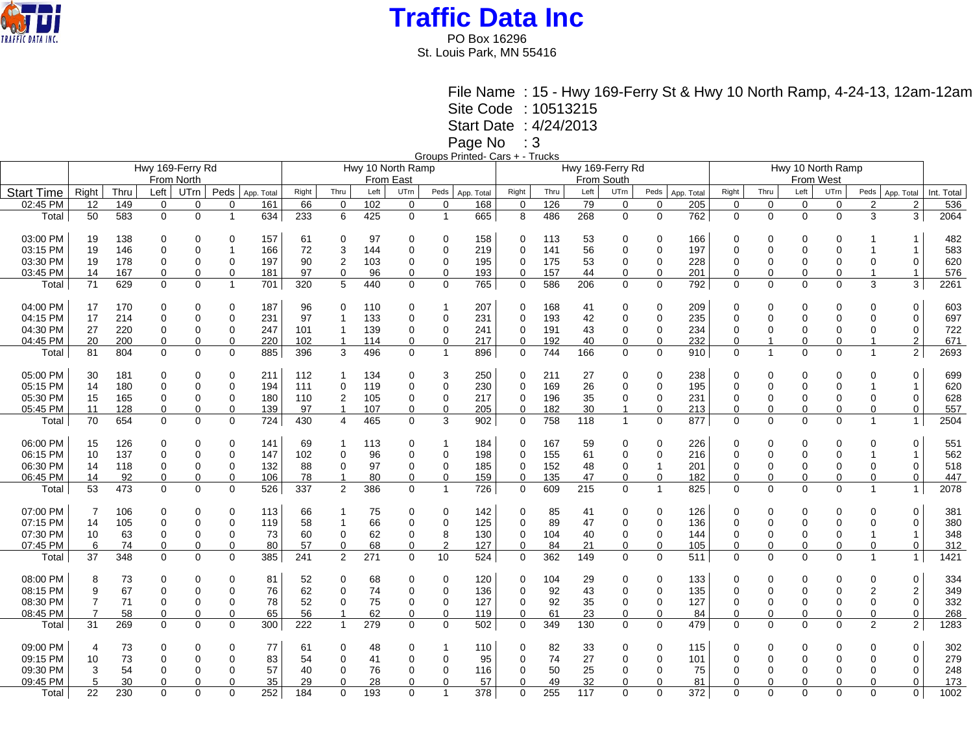

PO Box 16296 St. Louis Park, MN 55416

File Name : 15 - Hwy 169-Ferry St & Hwy 10 North Ramp, 4-24-13, 12am-12am Site Code : 10513215 Start Date : 4/24/2013

Page No : 3 Groups Printed- Cars + - Trucks

|                   |                |      |             | Hwy 169-Ferry Rd |                |                   |       |                | Hwy 10 North Ramp |             |                |                   |             |      | Hwy 169-Ferry Rd |                |              |            | Hwy 10 North Ramp |                |             |              |                |                              |            |  |
|-------------------|----------------|------|-------------|------------------|----------------|-------------------|-------|----------------|-------------------|-------------|----------------|-------------------|-------------|------|------------------|----------------|--------------|------------|-------------------|----------------|-------------|--------------|----------------|------------------------------|------------|--|
|                   |                |      |             | From North       |                |                   |       |                | From East         |             |                |                   | From South  |      |                  |                |              |            |                   | From West      |             |              |                |                              |            |  |
| <b>Start Time</b> | Right          | Thru | Left        | UTrn             | Peds           |                   | Right | Thru           | Left              | UTrn        | Peds           |                   | Right       | Thru | Left             | UTrn           | Peds         | App. Total | Right             | Thru           | Left        | UTrn         | Peds           |                              | Int. Total |  |
| 02:45 PM          | 12             | 149  | 0           | $\mathbf 0$      | $\Omega$       | App. Total<br>161 | 66    | $\mathbf{0}$   | 102               | $\mathbf 0$ | $\mathbf 0$    | App. Total<br>168 | $\mathbf 0$ | 126  | 79               | $\mathbf 0$    | $\mathbf 0$  | 205        | $\mathbf 0$       | $\mathbf 0$    | $\mathbf 0$ | 0            | $\overline{2}$ | App. Total<br>$\overline{2}$ | 536        |  |
|                   |                |      |             |                  |                |                   |       |                |                   |             |                |                   |             |      |                  |                |              |            |                   |                |             |              |                |                              |            |  |
| Total             | 50             | 583  | $\mathbf 0$ | $\mathbf 0$      | $\overline{1}$ | 634               | 233   | 6              | 425               | $\mathbf 0$ | $\overline{1}$ | 665               | 8           | 486  | 268              | $\mathbf 0$    | $\mathbf 0$  | 762        | $\mathbf 0$       | $\mathbf 0$    | $\mathbf 0$ | $\Omega$     | 3              | 3                            | 2064       |  |
| 03:00 PM          | 19             | 138  | 0           | 0                | $\Omega$       | 157               | 61    | 0              | 97                | 0           | 0              | 158               | 0           | 113  | 53               | 0              | 0            | 166        | $\Omega$          | 0              | $\Omega$    | 0            |                | 1                            | 482        |  |
| 03:15 PM          | 19             | 146  | 0           | $\mathbf 0$      |                | 166               | 72    | 3              | 144               | $\Omega$    | $\mathbf 0$    | 219               | 0           | 141  | 56               | $\Omega$       | $\mathbf 0$  | 197        | 0                 | $\Omega$       | $\Omega$    | 0            | -1             | 1                            | 583        |  |
| 03:30 PM          | 19             | 178  | 0           | 0                | $\Omega$       | 197               | 90    | 2              | 103               | 0           | 0              | 195               | 0           | 175  | 53               | 0              | $\mathbf 0$  | 228        | 0                 | $\Omega$       | $\Omega$    | 0            | $\Omega$       | 0                            | 620        |  |
| 03:45 PM          | 14             | 167  | 0           | $\mathbf 0$      | $\Omega$       | 181               | 97    | 0              | 96                | 0           | 0              | 193               | $\mathbf 0$ | 157  | 44               | $\mathbf 0$    | $\mathbf 0$  | 201        | 0                 | $\Omega$       | 0           | 0            | -1             | $\mathbf{1}$                 | 576        |  |
| Total             | 71             | 629  | $\mathbf 0$ | $\mathbf 0$      | $\mathbf{1}$   | 701               | 320   | 5              | 440               | 0           | $\mathbf 0$    | 765               | $\mathbf 0$ | 586  | 206              | $\mathbf 0$    | $\mathbf 0$  | 792        | 0                 | $\mathbf 0$    | $\mathbf 0$ | 0            | 3              | 3                            | 2261       |  |
| 04:00 PM          | 17             | 170  | 0           | 0                | $\Omega$       | 187               | 96    | 0              | 110               | 0           | -1             | 207               | 0           | 168  | 41               | 0              | 0            | 209        | 0                 | 0              | 0           | 0            | 0              | 0                            | 603        |  |
| 04:15 PM          | 17             | 214  | 0           | $\mathbf 0$      | $\Omega$       | 231               | 97    | $\overline{1}$ | 133               | $\mathbf 0$ | 0              | 231               | 0           | 193  | 42               | $\Omega$       | $\mathbf 0$  | 235        | $\mathbf{0}$      | $\Omega$       | $\Omega$    | $\mathbf{0}$ | $\mathbf 0$    | $\mathbf 0$                  | 697        |  |
| 04:30 PM          | 27             | 220  | 0           | 0                | $\Omega$       | 247               | 101   | 1              | 139               | 0           | 0              | 241               | 0           | 191  | 43               | 0              | 0            | 234        | 0                 | 0              | $\Omega$    | 0            | 0              | 0                            | 722        |  |
| 04:45 PM          | 20             | 200  | $\mathbf 0$ | $\mathbf 0$      | 0              | 220               | 102   | $\overline{1}$ | 114               | 0           | $\mathbf 0$    | 217               | $\mathbf 0$ | 192  | 40               | $\mathbf 0$    | $\mathbf 0$  | 232        | $\Omega$          | $\overline{1}$ | $\mathbf 0$ | 0            | -1             | $\overline{2}$               | 671        |  |
| Total             | 81             | 804  | $\mathbf 0$ | $\mathbf 0$      | $\mathbf 0$    | 885               | 396   | 3              | 496               | $\mathbf 0$ | $\overline{1}$ | 896               | $\mathbf 0$ | 744  | 166              | $\mathbf 0$    | $\mathbf 0$  | 910        | $\mathbf 0$       | $\overline{1}$ | $\mathbf 0$ | 0            | $\mathbf{1}$   | $\overline{2}$               | 2693       |  |
| 05:00 PM          | 30             | 181  | 0           | $\mathbf 0$      | 0              | 211               | 112   |                | 134               | 0           | 3              | 250               | 0           | 211  | 27               | $\mathbf 0$    | $\Omega$     | 238        | 0                 | $\Omega$       | $\Omega$    | 0            | 0              | 0                            | 699        |  |
| 05:15 PM          | 14             | 180  | 0           | $\mathbf 0$      | $\Omega$       | 194               | 111   | 0              | 119               | 0           | 0              | 230               | $\mathbf 0$ | 169  | 26               | $\Omega$       | $\mathbf 0$  | 195        | $\Omega$          | $\Omega$       | $\Omega$    | 0            | -1             | 1                            | 620        |  |
| 05:30 PM          | 15             | 165  | 0           | 0                | $\Omega$       | 180               | 110   | 2              | 105               | 0           | 0              | 217               | 0           | 196  | 35               | 0              | 0            | 231        | 0                 | 0              | $\Omega$    | 0            | $\Omega$       | 0                            | 628        |  |
| 05:45 PM          | 11             | 128  | 0           | $\mathbf 0$      | $\Omega$       | 139               | 97    | $\overline{1}$ | 107               | $\Omega$    | 0              | 205               | $\Omega$    | 182  | 30               | $\overline{1}$ | $\Omega$     | 213        | $\Omega$          | $\Omega$       | 0           | 0            | $\mathbf 0$    | 0                            | 557        |  |
| Total             | 70             | 654  | $\mathbf 0$ | $\mathbf 0$      | $\mathbf 0$    | 724               | 430   | $\overline{4}$ | 465               | $\mathbf 0$ | 3              | 902               | $\mathbf 0$ | 758  | 118              | $\mathbf{1}$   | $\mathbf 0$  | 877        | $\mathbf 0$       | $\mathbf 0$    | 0           | 0            | $\overline{1}$ | $\mathbf{1}$                 | 2504       |  |
| 06:00 PM          | 15             | 126  | 0           | 0                | $\Omega$       | 141               | 69    | -1             | 113               | 0           |                | 184               | 0           | 167  | 59               | 0              | 0            | 226        | 0                 | $\Omega$       | $\Omega$    | 0            | 0              | $\Omega$                     | 551        |  |
| 06:15 PM          | 10             | 137  | 0           | $\mathbf 0$      | $\Omega$       | 147               | 102   | 0              | 96                | $\mathbf 0$ | 0              | 198               | $\mathbf 0$ | 155  | 61               | $\mathbf 0$    | $\mathbf 0$  | 216        | $\mathbf 0$       | $\Omega$       | $\Omega$    | 0            |                | 1                            | 562        |  |
| 06:30 PM          | 14             | 118  | 0           | 0                | $\Omega$       | 132               | 88    | 0              | 97                | 0           | 0              | 185               | 0           | 152  | 48               | 0              | 1            | 201        | 0                 | 0              | $\Omega$    | 0            | 0              | 0                            | 518        |  |
| 06:45 PM          | 14             | 92   | 0           | $\mathbf 0$      | $\Omega$       | 106               | 78    | $\mathbf{1}$   | 80                | 0           | 0              | 159               | 0           | 135  | 47               | 0              | $\mathbf 0$  | 182        | $\Omega$          | 0              | 0           | 0            | $\mathbf 0$    | 0                            | 447        |  |
| Total             | 53             | 473  | 0           | $\overline{0}$   | $\Omega$       | 526               | 337   | $\overline{2}$ | 386               | $\mathbf 0$ | $\overline{1}$ | 726               | $\mathbf 0$ | 609  | 215              | $\mathbf 0$    | $\mathbf{1}$ | 825        | $\mathbf{0}$      | $\mathbf 0$    | 0           | 0            | $\overline{1}$ | $\mathbf{1}$                 | 2078       |  |
| 07:00 PM          | 7              | 106  | 0           | $\mathbf 0$      | $\Omega$       | 113               | 66    |                | 75                | 0           | 0              | 142               | $\mathbf 0$ | 85   | 41               | $\mathbf 0$    | 0            | 126        | $\Omega$          | $\Omega$       | $\Omega$    | 0            | $\Omega$       | 0                            | 381        |  |
| 07:15 PM          | 14             | 105  | 0           | $\mathbf 0$      | $\Omega$       | 119               | 58    |                | 66                | 0           | $\mathbf 0$    | 125               | 0           | 89   | 47               | $\Omega$       | $\mathbf 0$  | 136        | $\Omega$          | $\Omega$       | $\Omega$    | 0            | $\mathbf 0$    | $\Omega$                     | 380        |  |
| 07:30 PM          | 10             | 63   | 0           | $\mathbf 0$      | $\Omega$       | 73                | 60    | 0              | 62                | 0           | 8              | 130               | 0           | 104  | 40               | 0              | $\mathbf 0$  | 144        | 0                 | $\Omega$       | $\Omega$    | 0            | -1             | 1                            | 348        |  |
| 07:45 PM          | 6              | 74   | 0           | $\mathbf 0$      | $\Omega$       | 80                | 57    | 0              | 68                | $\Omega$    | $\overline{2}$ | 127               | 0           | 84   | 21               | $\Omega$       | $\Omega$     | 105        | $\Omega$          | $\Omega$       | 0           | 0            | 0              | 0                            | 312        |  |
| Total             | 37             | 348  | $\mathbf 0$ | $\mathbf 0$      | $\mathbf 0$    | 385               | 241   | $\overline{2}$ | 271               | $\mathbf 0$ | 10             | 524               | $\mathbf 0$ | 362  | 149              | $\mathbf 0$    | $\mathbf 0$  | 511        | 0                 | $\mathbf 0$    | $\mathbf 0$ | 0            | $\overline{1}$ | $\mathbf{1}$                 | 1421       |  |
| 08:00 PM          | 8              | 73   | 0           | 0                | $\Omega$       | 81                | 52    | $\Omega$       | 68                | 0           | 0              | 120               | 0           | 104  | 29               | $\mathbf 0$    | $\mathbf 0$  | 133        | $\Omega$          | $\Omega$       | $\Omega$    | $\Omega$     | $\mathbf 0$    | 0                            | 334        |  |
| 08:15 PM          | 9              | 67   | 0           | $\mathbf 0$      | $\Omega$       | 76                | 62    | 0              | 74                | $\mathbf 0$ | 0              | 136               | 0           | 92   | 43               | $\mathbf 0$    | $\mathbf 0$  | 135        | $\mathbf{0}$      | $\mathbf 0$    | $\Omega$    | $\mathbf{0}$ | $\overline{2}$ | $\overline{\mathbf{c}}$      | 349        |  |
| 08:30 PM          | $\overline{7}$ | 71   | 0           | $\mathbf 0$      | $\Omega$       | 78                | 52    | 0              | 75                | 0           | 0              | 127               | 0           | 92   | 35               | 0              | $\mathbf 0$  | 127        | 0                 | $\mathbf 0$    | $\Omega$    | 0            | 0              | $\mathbf 0$                  | 332        |  |
| 08:45 PM          | 7              | 58   | 0           | $\mathbf 0$      | $\Omega$       | 65                | 56    | $\mathbf{1}$   | 62                | $\Omega$    | 0              | 119               | $\mathbf 0$ | 61   | 23               | $\Omega$       | $\Omega$     | 84         | $\Omega$          | $\Omega$       | 0           | 0            | $\mathbf 0$    | 0                            | 268        |  |
| Total             | 31             | 269  | $\mathbf 0$ | $\mathbf 0$      | $\Omega$       | 300               | 222   | $\mathbf{1}$   | 279               | $\mathbf 0$ | $\mathbf 0$    | 502               | $\mathbf 0$ | 349  | 130              | $\mathbf 0$    | $\mathbf 0$  | 479        | $\mathbf 0$       | $\mathbf 0$    | $\Omega$    | 0            | 2              | $\overline{2}$               | 1283       |  |
| 09:00 PM          | $\overline{4}$ | 73   | 0           | 0                | $\Omega$       | 77                | 61    | 0              | 48                | $\Omega$    |                | 110               | 0           | 82   | 33               | $\mathbf 0$    | $\mathbf 0$  | 115        | 0                 | 0              | $\Omega$    | 0            | $\Omega$       | 0                            | 302        |  |
| 09:15 PM          | 10             | 73   | 0           | 0                | $\Omega$       | 83                | 54    | 0              | 41                | $\Omega$    | 0              | 95                | 0           | 74   | 27               | $\Omega$       | $\mathbf 0$  | 101        | $\Omega$          | $\Omega$       | $\Omega$    | 0            | $\Omega$       | $\mathbf 0$                  | 279        |  |
| 09:30 PM          | 3              | 54   | 0           | 0                | $\Omega$       | 57                | 40    | 0              | 76                | 0           | 0              | 116               | 0           | 50   | 25               | 0              | $\mathbf 0$  | 75         | $\Omega$          | 0              | $\Omega$    | 0            | $\mathbf 0$    | 0                            | 248        |  |
| 09:45 PM          | 5              | 30   | 0           | $\Omega$         |                | 35                | 29    | 0              | 28                | $\Omega$    | 0              | 57                | $\Omega$    | 49   | 32               | 0              | $\Omega$     | 81         | ∩                 | 0              | 0           | 0            | $\Omega$       | 0                            | 173        |  |
| Total             | 22             | 230  | $\Omega$    | $\Omega$         | $\Omega$       | 252               | 184   | $\Omega$       | 193               | $\Omega$    | $\overline{1}$ | 378               | $\Omega$    | 255  | 117              | $\Omega$       | $\Omega$     | 372        | $\Omega$          | $\Omega$       | $\Omega$    | $\Omega$     | $\Omega$       | $\mathbf{0}$                 | 1002       |  |
|                   |                |      |             |                  |                |                   |       |                |                   |             |                |                   |             |      |                  |                |              |            |                   |                |             |              |                |                              |            |  |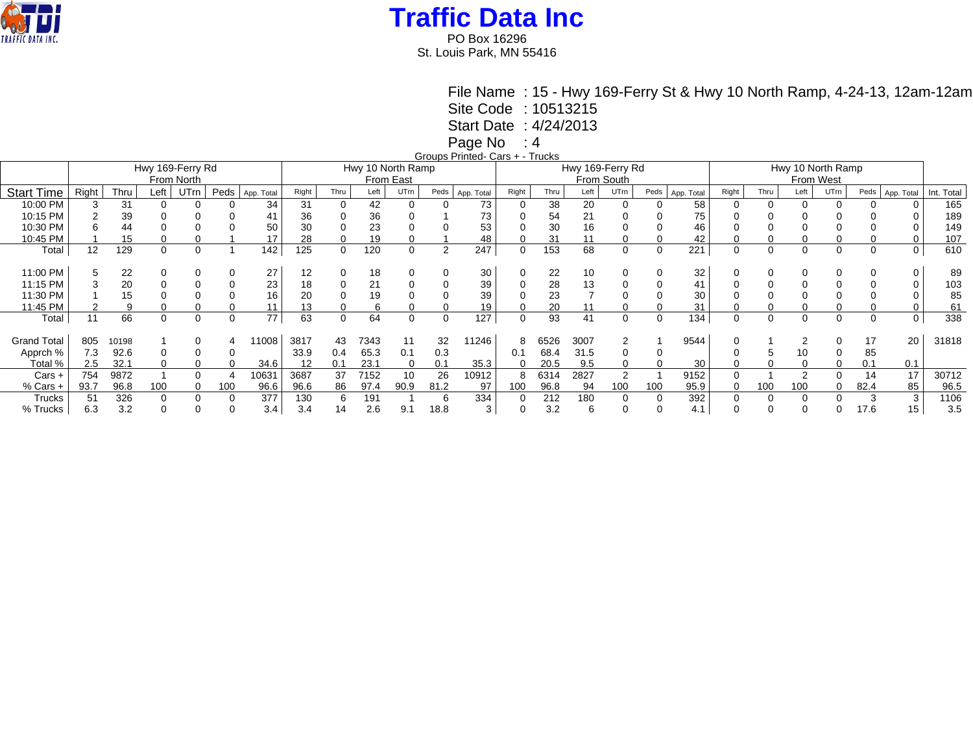

PO Box 16296 St. Louis Park, MN 55416

> File Name : 15 - Hwy 169-Ferry St & Hwy 10 North Ramp, 4-24-13, 12am-12am Site Code : 10513215 Start Date : 4/24/2013

Page No : 4

Groups Printed- Cars + - Trucks

|                    | Gioapo i illitoa baio i<br><br>Hwy 169-Ferry Rd |       |                   |            |      |            |       |      |      |                  |                |            |            |      |      |                |                   |            |           |      |      |          |      |            |            |
|--------------------|-------------------------------------------------|-------|-------------------|------------|------|------------|-------|------|------|------------------|----------------|------------|------------|------|------|----------------|-------------------|------------|-----------|------|------|----------|------|------------|------------|
|                    |                                                 |       | Hwy 10 North Ramp |            |      |            |       |      |      | Hwy 169-Ferry Rd |                |            |            |      |      |                | Hwy 10 North Ramp |            |           |      |      |          |      |            |            |
|                    |                                                 |       |                   | From North |      |            |       |      |      | From East        |                |            | From South |      |      |                |                   |            | From West |      |      |          |      |            |            |
| <b>Start Time</b>  | Right                                           | Thru  | Left              | UTrn       | Peds | App. Total | Right | Thru | Left | UTrn             | Peds           | App. Total | Right      | Thru | Left | UTrn           | Peds              | App. Total | Right     | Thru | Left | UTrn     | Peds | App. Total | Int. Total |
| 10:00 PM           |                                                 | 31    |                   |            |      | 34         | 31    |      | 42   |                  |                | 73         |            | 38   | 20   | 0              |                   | 58         |           |      |      |          |      |            | 165        |
| 10:15 PM           |                                                 | 39    |                   |            |      |            | 36    |      | 36   |                  |                | 73         |            | 54   | 21   |                |                   | 75         |           |      |      |          |      |            | 189        |
| 10:30 PM           |                                                 | 44    |                   |            |      | 50         | 30    |      | 23   |                  |                | 53         |            | 30   | 16   |                |                   | 46         |           |      |      |          |      |            | 149        |
| 10:45 PM           |                                                 | 15    |                   |            |      |            | 28    |      | 19   |                  |                | 48         |            | 31   | 11   |                |                   | 42         |           |      |      |          |      |            | 107        |
| Total              | 12                                              | 129   | 0                 | 0          |      | 142        | 125   | 0    | 120  | 0                | $\overline{2}$ | 247        | 0          | 153  | 68   | 0              |                   | 221        | 0         | 0    | 0    | $\Omega$ | 0    | 0          | 610        |
|                    |                                                 |       |                   |            |      |            |       |      |      |                  |                |            |            |      |      |                |                   |            |           |      |      |          |      |            |            |
| 11:00 PM           |                                                 | 22    | 0                 |            |      | 27         | 12    |      | 18   |                  |                | 30         |            | 22   | 10   | 0              |                   | 32         |           |      |      |          |      |            | 89         |
| 11:15 PM           |                                                 | 20    |                   |            |      | 23         | 18    |      | 21   |                  |                | 39         |            | 28   | 13   |                |                   | 41         |           |      |      |          |      |            | 103        |
| 11:30 PM           |                                                 | 15    |                   |            |      | 16         | 20    |      | 19   |                  |                | 39         |            | 23   |      |                |                   | 30         |           |      |      |          |      |            | 85         |
| 11:45 PM           |                                                 |       |                   |            |      |            | 13    |      |      |                  |                | 19         |            | 20   |      |                |                   | 31         |           |      |      |          |      |            | 61         |
| Total              | 11                                              | 66    | $\Omega$          | 0          |      | 77         | 63    | 0    | 64   | 0                | 0              | 127        |            | 93   | 41   | $\Omega$       |                   | 134        |           | 0    | 0    | ∩        |      | 0          | 338        |
|                    |                                                 |       |                   |            |      |            |       |      |      |                  |                |            |            |      |      |                |                   |            |           |      |      |          |      |            |            |
| <b>Grand Total</b> | 805                                             | 10198 |                   |            |      | 1008       | 3817  | 43   | 7343 |                  | 32             | 11246      | 8          | 6526 | 3007 | $\overline{2}$ |                   | 9544       |           |      |      |          | 17   | 20         | 31818      |
| Apprch %           | 7.3                                             | 92.6  | 0                 |            |      |            | 33.9  | 0.4  | 65.3 | 0.1              | 0.3            |            | 0.1        | 68.4 | 31.5 | 0              |                   |            |           |      | 10   |          | 85   |            |            |
| Total %            | 2.5                                             | 32.1  | $\Omega$          | 0          |      | 34.6       | 12    | 0.1  | 23.1 | 0                | 0.1            | 35.3       | $\Omega$   | 20.5 | 9.5  | 0              |                   | 30         |           | 0    | 0    |          | 0.1  | 0.1        |            |
| $Cars +$           | 754                                             | 9872  |                   |            |      | 10631      | 3687  | 37   | 7152 | 10               | 26             | 10912      | 8          | 6314 | 2827 | 2              |                   | 9152       |           |      | 2    |          | 14   | 17         | 30712      |
| $%$ Cars $+$       | 93.7                                            | 96.8  | 100               | 0          | 100  | 96.6       | 96.6  | 86   | 97.4 | 90.9             | 81.2           | 97         | 100        | 96.8 | 94   | 100            | 100               | 95.9       |           | 100  | 100  |          | 82.4 | 85         | 96.5       |
| Trucks             |                                                 | 326   | $\Omega$          | $\Omega$   |      | 377        | 130   | 6    | 191  |                  | 6              | 334        |            | 212  | 180  | 0              |                   | 392        |           | 0    | 0    |          |      |            | 1106       |
| % Trucks           | 6.3                                             | 3.2   |                   |            |      | 3.4        | 3.4   | 14   | 2.6  | 9.1              | 18.8           | 3          |            | 3.2  | 6    |                |                   | 4.1        |           |      |      |          | 17.6 | 15         | 3.5        |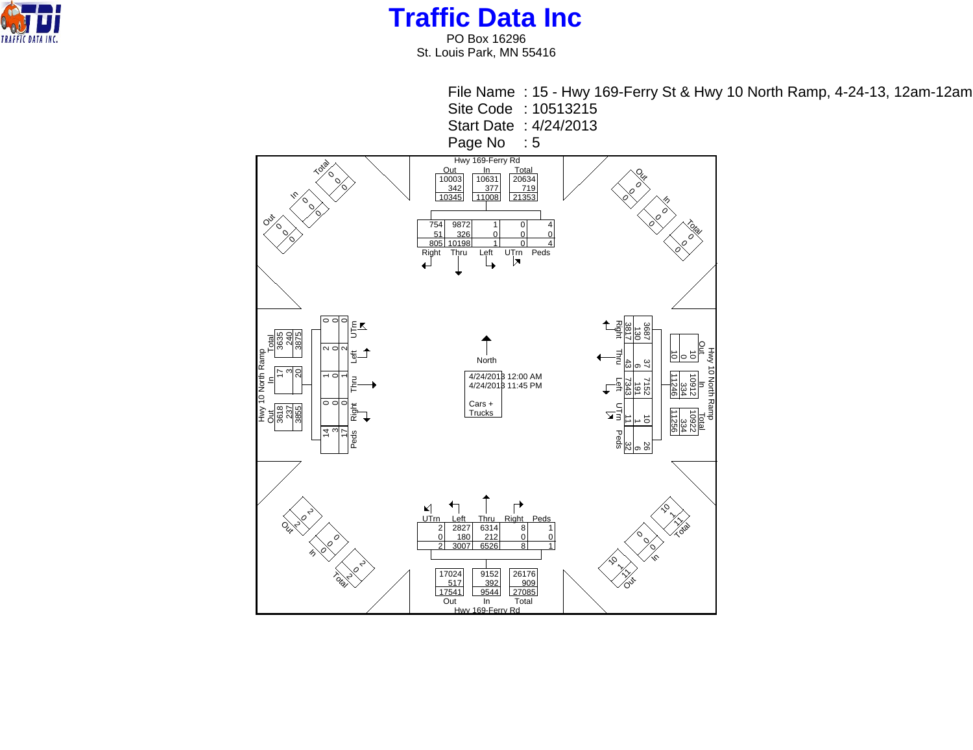

PO Box 16296 St. Louis Park, MN 55416